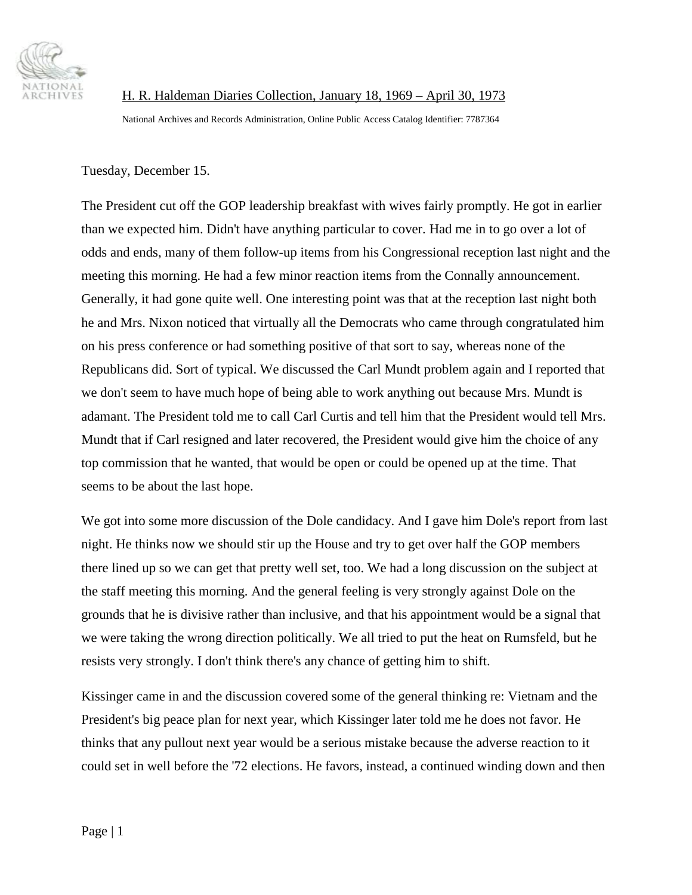

H. R. Haldeman Diaries Collection, January 18, 1969 – April 30, 1973 National Archives and Records Administration, Online Public Access Catalog Identifier: 7787364

Tuesday, December 15.

The President cut off the GOP leadership breakfast with wives fairly promptly. He got in earlier than we expected him. Didn't have anything particular to cover. Had me in to go over a lot of odds and ends, many of them follow-up items from his Congressional reception last night and the meeting this morning. He had a few minor reaction items from the Connally announcement. Generally, it had gone quite well. One interesting point was that at the reception last night both he and Mrs. Nixon noticed that virtually all the Democrats who came through congratulated him on his press conference or had something positive of that sort to say, whereas none of the Republicans did. Sort of typical. We discussed the Carl Mundt problem again and I reported that we don't seem to have much hope of being able to work anything out because Mrs. Mundt is adamant. The President told me to call Carl Curtis and tell him that the President would tell Mrs. Mundt that if Carl resigned and later recovered, the President would give him the choice of any top commission that he wanted, that would be open or could be opened up at the time. That seems to be about the last hope.

We got into some more discussion of the Dole candidacy. And I gave him Dole's report from last night. He thinks now we should stir up the House and try to get over half the GOP members there lined up so we can get that pretty well set, too. We had a long discussion on the subject at the staff meeting this morning. And the general feeling is very strongly against Dole on the grounds that he is divisive rather than inclusive, and that his appointment would be a signal that we were taking the wrong direction politically. We all tried to put the heat on Rumsfeld, but he resists very strongly. I don't think there's any chance of getting him to shift.

Kissinger came in and the discussion covered some of the general thinking re: Vietnam and the President's big peace plan for next year, which Kissinger later told me he does not favor. He thinks that any pullout next year would be a serious mistake because the adverse reaction to it could set in well before the '72 elections. He favors, instead, a continued winding down and then